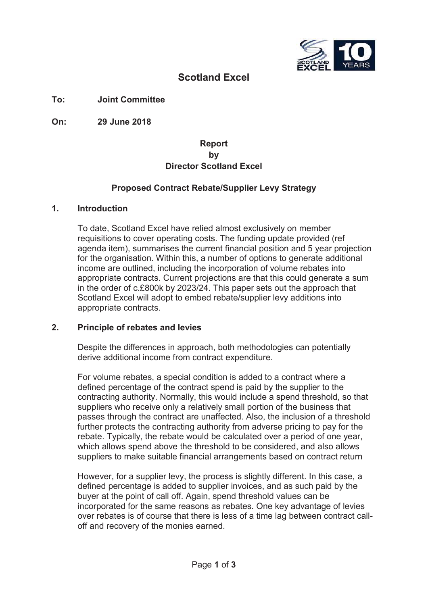

# **Scotland Excel**

**To: Joint Committee**

**On: 29 June 2018**

## **Report by Director Scotland Excel**

### **Proposed Contract Rebate/Supplier Levy Strategy**

#### **1. Introduction**

To date, Scotland Excel have relied almost exclusively on member requisitions to cover operating costs. The funding update provided (ref agenda item), summarises the current financial position and 5 year projection for the organisation. Within this, a number of options to generate additional income are outlined, including the incorporation of volume rebates into appropriate contracts. Current projections are that this could generate a sum in the order of c.£800k by 2023/24. This paper sets out the approach that Scotland Excel will adopt to embed rebate/supplier levy additions into appropriate contracts.

#### **2. Principle of rebates and levies**

Despite the differences in approach, both methodologies can potentially derive additional income from contract expenditure.

For volume rebates, a special condition is added to a contract where a defined percentage of the contract spend is paid by the supplier to the contracting authority. Normally, this would include a spend threshold, so that suppliers who receive only a relatively small portion of the business that passes through the contract are unaffected. Also, the inclusion of a threshold further protects the contracting authority from adverse pricing to pay for the rebate. Typically, the rebate would be calculated over a period of one year, which allows spend above the threshold to be considered, and also allows suppliers to make suitable financial arrangements based on contract return

However, for a supplier levy, the process is slightly different. In this case, a defined percentage is added to supplier invoices, and as such paid by the buyer at the point of call off. Again, spend threshold values can be incorporated for the same reasons as rebates. One key advantage of levies over rebates is of course that there is less of a time lag between contract calloff and recovery of the monies earned.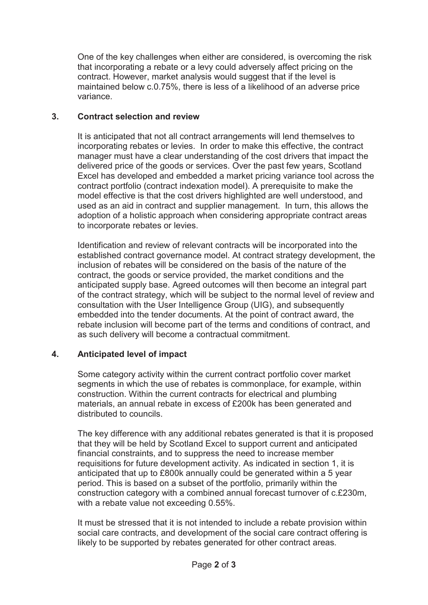One of the key challenges when either are considered, is overcoming the risk that incorporating a rebate or a levy could adversely affect pricing on the contract. However, market analysis would suggest that if the level is maintained below c.0.75%, there is less of a likelihood of an adverse price variance.

### **3. Contract selection and review**

It is anticipated that not all contract arrangements will lend themselves to incorporating rebates or levies. In order to make this effective, the contract manager must have a clear understanding of the cost drivers that impact the delivered price of the goods or services. Over the past few years, Scotland Excel has developed and embedded a market pricing variance tool across the contract portfolio (contract indexation model). A prerequisite to make the model effective is that the cost drivers highlighted are well understood, and used as an aid in contract and supplier management. In turn, this allows the adoption of a holistic approach when considering appropriate contract areas to incorporate rebates or levies.

Identification and review of relevant contracts will be incorporated into the established contract governance model. At contract strategy development, the inclusion of rebates will be considered on the basis of the nature of the contract, the goods or service provided, the market conditions and the anticipated supply base. Agreed outcomes will then become an integral part of the contract strategy, which will be subject to the normal level of review and consultation with the User Intelligence Group (UIG), and subsequently embedded into the tender documents. At the point of contract award, the rebate inclusion will become part of the terms and conditions of contract, and as such delivery will become a contractual commitment.

# **4. Anticipated level of impact**

Some category activity within the current contract portfolio cover market segments in which the use of rebates is commonplace, for example, within construction. Within the current contracts for electrical and plumbing materials, an annual rebate in excess of £200k has been generated and distributed to councils.

The key difference with any additional rebates generated is that it is proposed that they will be held by Scotland Excel to support current and anticipated financial constraints, and to suppress the need to increase member requisitions for future development activity. As indicated in section 1, it is anticipated that up to £800k annually could be generated within a 5 year period. This is based on a subset of the portfolio, primarily within the construction category with a combined annual forecast turnover of c.£230m, with a rebate value not exceeding 0.55%.

It must be stressed that it is not intended to include a rebate provision within social care contracts, and development of the social care contract offering is likely to be supported by rebates generated for other contract areas.